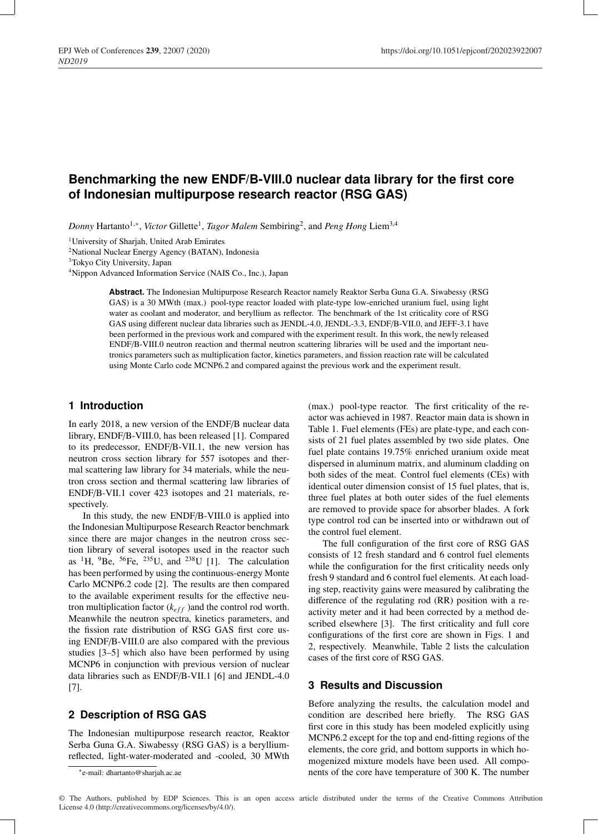# **Benchmarking the new ENDF/B-VIII.0 nuclear data library for the first core of Indonesian multipurpose research reactor (RSG GAS)**

*Donny* Hartanto<sup>1,∗</sup>, *Victor* Gillette<sup>1</sup>, *Tagor Malem* Sembiring<sup>2</sup>, and *Peng Hong* Liem<sup>3,4</sup>

<sup>1</sup>University of Sharjah, United Arab Emirates

2National Nuclear Energy Agency (BATAN), Indonesia

3Tokyo City University, Japan

4Nippon Advanced Information Service (NAIS Co., Inc.), Japan

**Abstract.** The Indonesian Multipurpose Research Reactor namely Reaktor Serba Guna G.A. Siwabessy (RSG GAS) is a 30 MWth (max.) pool-type reactor loaded with plate-type low-enriched uranium fuel, using light water as coolant and moderator, and beryllium as reflector. The benchmark of the 1st criticality core of RSG GAS using different nuclear data libraries such as JENDL-4.0, JENDL-3.3, ENDF/B-VII.0, and JEFF-3.1 have been performed in the previous work and compared with the experiment result. In this work, the newly released ENDF/B-VIII.0 neutron reaction and thermal neutron scattering libraries will be used and the important neutronics parameters such as multiplication factor, kinetics parameters, and fission reaction rate will be calculated using Monte Carlo code MCNP6.2 and compared against the previous work and the experiment result.

## **1 Introduction**

In early 2018, a new version of the ENDF/B nuclear data library, ENDF/B-VIII.0, has been released [1]. Compared to its predecessor, ENDF/B-VII.1, the new version has neutron cross section library for 557 isotopes and thermal scattering law library for 34 materials, while the neutron cross section and thermal scattering law libraries of ENDF/B-VII.1 cover 423 isotopes and 21 materials, respectively.

In this study, the new ENDF/B-VIII.0 is applied into the Indonesian Multipurpose Research Reactor benchmark since there are major changes in the neutron cross section library of several isotopes used in the reactor such as <sup>1</sup>H, <sup>9</sup>Be, <sup>56</sup>Fe, <sup>235</sup>U, and <sup>238</sup>U [1]. The calculation has been performed by using the continuous-energy Monte Carlo MCNP6.2 code [2]. The results are then compared to the available experiment results for the effective neutron multiplication factor  $(k<sub>eff</sub>)$  and the control rod worth. Meanwhile the neutron spectra, kinetics parameters, and the fission rate distribution of RSG GAS first core using ENDF/B-VIII.0 are also compared with the previous studies [3–5] which also have been performed by using MCNP6 in conjunction with previous version of nuclear data libraries such as ENDF/B-VII.1 [6] and JENDL-4.0 [7].

# **2 Description of RSG GAS**

The Indonesian multipurpose research reactor, Reaktor Serba Guna G.A. Siwabessy (RSG GAS) is a berylliumreflected, light-water-moderated and -cooled, 30 MWth

(max.) pool-type reactor. The first criticality of the reactor was achieved in 1987. Reactor main data is shown in Table 1. Fuel elements (FEs) are plate-type, and each consists of 21 fuel plates assembled by two side plates. One fuel plate contains 19.75% enriched uranium oxide meat dispersed in aluminum matrix, and aluminum cladding on both sides of the meat. Control fuel elements (CEs) with identical outer dimension consist of 15 fuel plates, that is, three fuel plates at both outer sides of the fuel elements are removed to provide space for absorber blades. A fork type control rod can be inserted into or withdrawn out of the control fuel element.

The full configuration of the first core of RSG GAS consists of 12 fresh standard and 6 control fuel elements while the configuration for the first criticality needs only fresh 9 standard and 6 control fuel elements. At each loading step, reactivity gains were measured by calibrating the difference of the regulating rod (RR) position with a reactivity meter and it had been corrected by a method described elsewhere [3]. The first criticality and full core configurations of the first core are shown in Figs. 1 and 2, respectively. Meanwhile, Table 2 lists the calculation cases of the first core of RSG GAS.

## **3 Results and Discussion**

Before analyzing the results, the calculation model and condition are described here briefly. The RSG GAS first core in this study has been modeled explicitly using MCNP6.2 except for the top and end-fitting regions of the elements, the core grid, and bottom supports in which homogenized mixture models have been used. All components of the core have temperature of 300 K. The number

<sup>∗</sup>e-mail: dhartanto@sharjah.ac.ae

<sup>©</sup> The Authors, published by EDP Sciences. This is an open access article distributed under the terms of the Creative Commons Attribution License 4.0 (http://creativecommons.org/licenses/by/4.0/).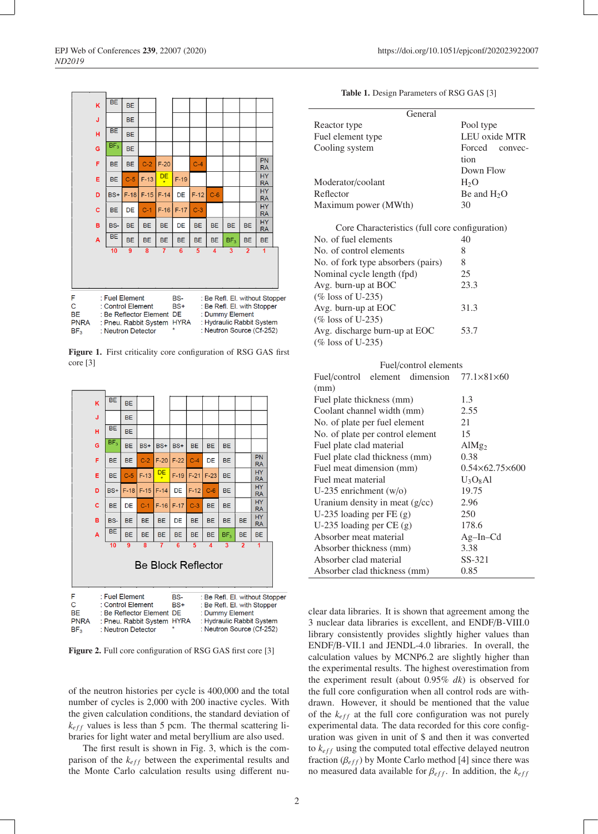

Figure 1. First criticality core configuration of RSG GAS first core [3]



Figure 2. Full core configuration of RSG GAS first core [3]

of the neutron histories per cycle is 400,000 and the total number of cycles is 2,000 with 200 inactive cycles. With the given calculation conditions, the standard deviation of  $k_{eff}$  values is less than 5 pcm. The thermal scattering libraries for light water and metal beryllium are also used.

The first result is shown in Fig. 3, which is the comparison of the  $k_{eff}$  between the experimental results and the Monte Carlo calculation results using different nu-

#### Table 1. Design Parameters of RSG GAS [3]

| General              |                  |
|----------------------|------------------|
| Reactor type         | Pool type        |
| Fuel element type    | LEU oxide MTR    |
| Cooling system       | Forced convec-   |
|                      | tion             |
|                      | Down Flow        |
| Moderator/coolant    | H <sub>2</sub> O |
| Reflector            | Be and $H2O$     |
| Maximum power (MWth) | 30               |
|                      |                  |

Core Characteristics (full core configuration) No. of fuel elements 40 No. of control elements 8 No. of fork type absorbers (pairs) 8 Nominal cycle length (fpd) 25 Avg. burn-up at BOC 23.3 (% loss of U-235) Avg. burn-up at EOC 31.3 (% loss of U-235) Avg. discharge burn-up at EOC 53.7 (% loss of U-235)

| Fuel/control elements                                     |                              |  |  |
|-----------------------------------------------------------|------------------------------|--|--|
| Fuel/control element dimension $77.1 \times 81 \times 60$ |                              |  |  |
| (mm)                                                      |                              |  |  |
| Fuel plate thickness (mm)                                 | 1.3                          |  |  |
| Coolant channel width (mm)                                | 2.55                         |  |  |
| No. of plate per fuel element                             | 21                           |  |  |
| No. of plate per control element                          | 15                           |  |  |
| Fuel plate clad material                                  | Al $Mg_2$                    |  |  |
| Fuel plate clad thickness (mm)                            | 0.38                         |  |  |
| Fuel meat dimension (mm)                                  | $0.54\times 62.75\times 600$ |  |  |
| Fuel meat material                                        | $U_3O_8Al$                   |  |  |
| U-235 enrichment $(w/o)$                                  | 19.75                        |  |  |
| Uranium density in meat $(g/cc)$                          | 2.96                         |  |  |
| U-235 loading per $FE(g)$                                 | 250                          |  |  |
| U-235 loading per $CE(g)$                                 | 178.6                        |  |  |
| Absorber meat material                                    | $Ag-In-Cd$                   |  |  |
| Absorber thickness (mm)                                   | 3.38                         |  |  |
| Absorber clad material                                    | SS-321                       |  |  |
| Absorber clad thickness (mm)                              | 0.85                         |  |  |
|                                                           |                              |  |  |

clear data libraries. It is shown that agreement among the 3 nuclear data libraries is excellent, and ENDF/B-VIII.0 library consistently provides slightly higher values than ENDF/B-VII.1 and JENDL-4.0 libraries. In overall, the calculation values by MCNP6.2 are slightly higher than the experimental results. The highest overestimation from the experiment result (about 0.95% *dk*) is observed for the full core configuration when all control rods are withdrawn. However, it should be mentioned that the value of the  $k_{eff}$  at the full core configuration was not purely experimental data. The data recorded for this core configuration was given in unit of \$ and then it was converted to  $k_{eff}$  using the computed total effective delayed neutron fraction  $(\beta_{eff})$  by Monte Carlo method [4] since there was no measured data available for  $\beta_{eff}$ . In addition, the  $k_{eff}$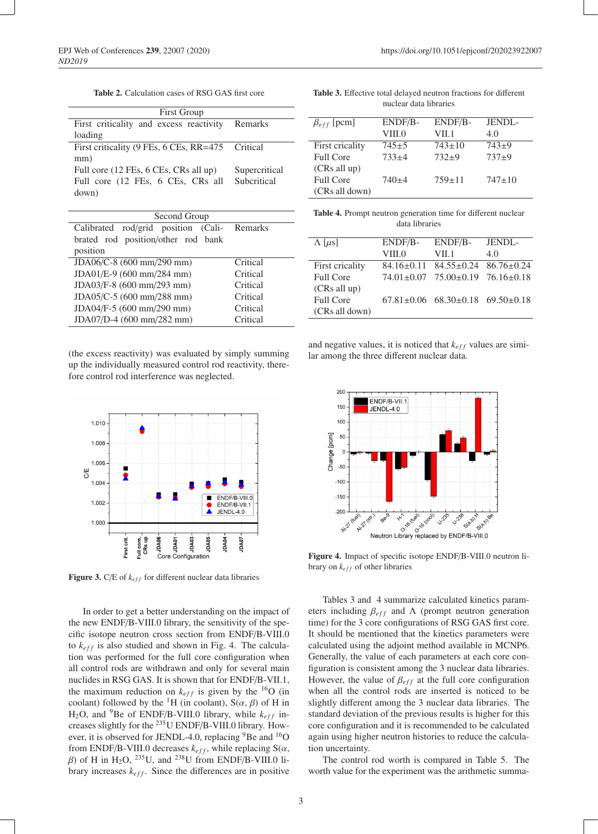| <b>Table 2.</b> Calculation cases of RSG GAS first core |
|---------------------------------------------------------|
|---------------------------------------------------------|

| <b>First Group</b>                               |               |  |
|--------------------------------------------------|---------------|--|
| First criticality and excess reactivity          | Remarks       |  |
| loading                                          |               |  |
| First criticality (9 FEs, 6 CEs, RR=475 Critical |               |  |
| mm)                                              |               |  |
| Full core (12 FEs, 6 CEs, CRs all up)            | Supercritical |  |
| Full core (12 FEs, 6 CEs, CRs all                | Subcritical   |  |
| down)                                            |               |  |
|                                                  |               |  |

| Second Group                                |          |  |
|---------------------------------------------|----------|--|
| Calibrated rod/grid position (Cali- Remarks |          |  |
| brated rod position/other rod bank          |          |  |
| position                                    |          |  |
| JDA06/C-8 (600 mm/290 mm)                   | Critical |  |
| JDA01/E-9 (600 mm/284 mm)                   | Critical |  |
| JDA03/F-8 (600 mm/293 mm)                   | Critical |  |
| JDA05/C-5 (600 mm/288 mm)                   | Critical |  |
| JDA04/F-5 (600 mm/290 mm)                   | Critical |  |
| JDA07/D-4 (600 mm/282 mm)                   | Critical |  |

(the excess reactivity) was evaluated by simply summing up the individually measured control rod reactivity, therefore control rod interference was neglected.



**Figure 3.** C/E of  $k_{eff}$  for different nuclear data libraries

In order to get a better understanding on the impact of the new ENDF/B-VIII.0 library, the sensitivity of the specific isotope neutron cross section from ENDF/B-VIII.0 to  $k_{eff}$  is also studied and shown in Fig. 4. The calculation was performed for the full core configuration when all control rods are withdrawn and only for several main nuclides in RSG GAS. It is shown that for ENDF/B-VII.1, the maximum reduction on  $k_{eff}$  is given by the <sup>16</sup>O (in coolant) followed by the <sup>1</sup>H (in coolant),  $S(\alpha, \beta)$  of H in H<sub>2</sub>O, and <sup>9</sup>Be of ENDF/B-VIII.0 library, while  $k_{eff}$  increases slightly for the 235U ENDF/B-VIII.0 library. However, it is observed for JENDL-4.0, replacing <sup>9</sup>Be and <sup>16</sup>O from ENDF/B-VIII.0 decreases  $k_{eff}$ , while replacing  $S(\alpha, \beta)$  $\beta$ ) of H in H<sub>2</sub>O, <sup>235</sup>U, and <sup>238</sup>U from ENDF/B-VIII.0 library increases  $k_{eff}$ . Since the differences are in positive

Table 3. Effective total delayed neutron fractions for different nuclear data libraries

| $\beta_{eff}$ [pcm] | ENDF/B-<br>VIII.0 | ENDF/B-<br>VII.1 | JENDL-<br>4.0 |
|---------------------|-------------------|------------------|---------------|
| First cricality     | $745+5$           | $743 \pm 10$     | $743+9$       |
| <b>Full Core</b>    | $733+4$           | $732+9$          | $737+9$       |
| (CRs all up)        |                   |                  |               |
| Full Core           | $740+4$           | $759 \pm 11$     | $747 \pm 10$  |
| (CRs all down)      |                   |                  |               |

Table 4. Prompt neutron generation time for different nuclear data libraries

| $\Lambda$ [ $\mu$ s] | ENDF/B- | ENDF/B-                                            | JENDL- |
|----------------------|---------|----------------------------------------------------|--------|
|                      | VIII.0  | VII.1                                              | 4.0    |
| First cricality      |         | $84.16 \pm 0.11$ $84.55 \pm 0.24$ $86.76 \pm 0.24$ |        |
| <b>Full Core</b>     |         | $74.01 \pm 0.07$ $75.00 \pm 0.19$ $76.16 \pm 0.18$ |        |
| (CRs all up)         |         |                                                    |        |
| <b>Full Core</b>     |         | $67.81 \pm 0.06$ $68.30 \pm 0.18$ $69.50 \pm 0.18$ |        |
| (CRs all down)       |         |                                                    |        |
|                      |         |                                                    |        |

and negative values, it is noticed that  $k_{eff}$  values are similar among the three different nuclear data.



Figure 4. Impact of specific isotope ENDF/B-VIII.0 neutron library on  $k_{eff}$  of other libraries

Tables 3 and 4 summarize calculated kinetics parameters including  $\beta_{eff}$  and  $\Lambda$  (prompt neutron generation time) for the 3 core configurations of RSG GAS first core. It should be mentioned that the kinetics parameters were calculated using the adjoint method available in MCNP6. Generally, the value of each parameters at each core configuration is consistent among the 3 nuclear data libraries. However, the value of  $\beta_{eff}$  at the full core configuration when all the control rods are inserted is noticed to be slightly different among the 3 nuclear data libraries. The standard deviation of the previous results is higher for this core configuration and it is recommended to be calculated again using higher neutron histories to reduce the calculation uncertainty.

The control rod worth is compared in Table 5. The worth value for the experiment was the arithmetic summa-